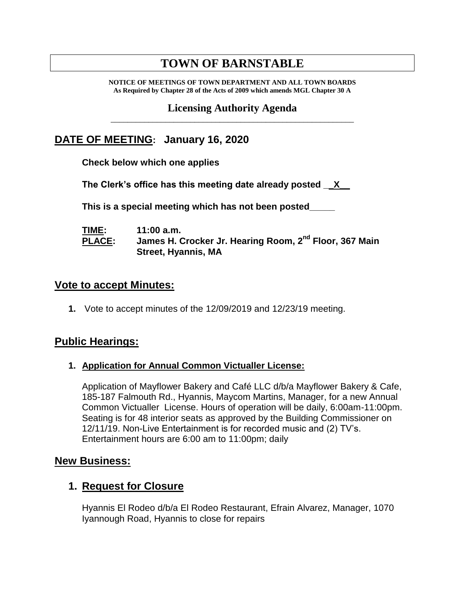# **TOWN OF BARNSTABLE**

**NOTICE OF MEETINGS OF TOWN DEPARTMENT AND ALL TOWN BOARDS As Required by Chapter 28 of the Acts of 2009 which amends MGL Chapter 30 A**

### **Licensing Authority Agenda** \_\_\_\_\_\_\_\_\_\_\_\_\_\_\_\_\_\_\_\_\_\_\_\_\_\_\_\_\_\_\_\_\_\_\_\_\_\_\_\_\_\_\_\_\_\_\_\_\_\_\_\_\_\_\_\_\_\_

# **DATE OF MEETING: January 16, 2020**

**Check below which one applies**

**The Clerk's office has this meeting date already posted \_\_X\_\_**

**This is a special meeting which has not been posted\_\_\_\_\_**

| TIME:         | 11:00 a.m.                                                         |
|---------------|--------------------------------------------------------------------|
| <b>PLACE:</b> | James H. Crocker Jr. Hearing Room, 2 <sup>nd</sup> Floor, 367 Main |
|               | Street, Hyannis, MA                                                |

### **Vote to accept Minutes:**

**1.** Vote to accept minutes of the 12/09/2019 and 12/23/19 meeting.

# **Public Hearings:**

### **1. Application for Annual Common Victualler License:**

Application of Mayflower Bakery and Café LLC d/b/a Mayflower Bakery & Cafe, 185-187 Falmouth Rd., Hyannis, Maycom Martins, Manager, for a new Annual Common Victualler License. Hours of operation will be daily, 6:00am-11:00pm. Seating is for 48 interior seats as approved by the Building Commissioner on 12/11/19. Non-Live Entertainment is for recorded music and (2) TV's. Entertainment hours are 6:00 am to 11:00pm; daily

### **New Business:**

# **1. Request for Closure**

Hyannis El Rodeo d/b/a El Rodeo Restaurant, Efrain Alvarez, Manager, 1070 Iyannough Road, Hyannis to close for repairs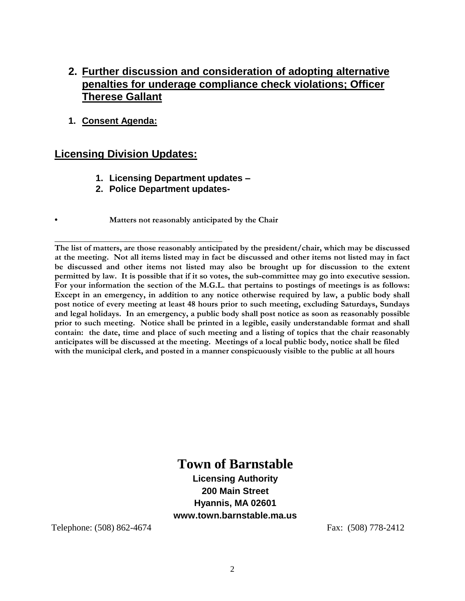# **2. Further discussion and consideration of adopting alternative penalties for underage compliance check violations; Officer Therese Gallant**

**1. Consent Agenda:**

# **Licensing Division Updates:**

**\_\_\_\_\_\_\_\_\_\_\_\_\_\_\_\_\_\_\_\_\_\_\_\_\_\_\_\_\_\_\_\_\_\_\_\_\_\_\_\_**

- **1. Licensing Department updates –**
- **2. Police Department updates-**
	- **• Matters not reasonably anticipated by the Chair**

**The list of matters, are those reasonably anticipated by the president/chair, which may be discussed at the meeting. Not all items listed may in fact be discussed and other items not listed may in fact be discussed and other items not listed may also be brought up for discussion to the extent permitted by law. It is possible that if it so votes, the sub-committee may go into executive session. For your information the section of the M.G.L. that pertains to postings of meetings is as follows: Except in an emergency, in addition to any notice otherwise required by law, a public body shall post notice of every meeting at least 48 hours prior to such meeting, excluding Saturdays, Sundays and legal holidays. In an emergency, a public body shall post notice as soon as reasonably possible prior to such meeting. Notice shall be printed in a legible, easily understandable format and shall contain: the date, time and place of such meeting and a listing of topics that the chair reasonably anticipates will be discussed at the meeting. Meetings of a local public body, notice shall be filed with the municipal clerk, and posted in a manner conspicuously visible to the public at all hours**

# **Town of Barnstable**

**Licensing Authority 200 Main Street Hyannis, MA 02601 www.town.barnstable.ma.us**

Telephone: (508) 862-4674 Fax: (508) 778-2412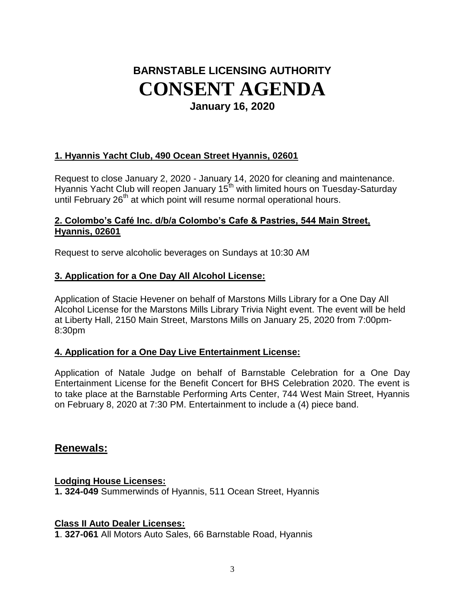# **BARNSTABLE LICENSING AUTHORITY CONSENT AGENDA January 16, 2020**

### **1. Hyannis Yacht Club, 490 Ocean Street Hyannis, 02601**

Request to close January 2, 2020 - January 14, 2020 for cleaning and maintenance. Hyannis Yacht Club will reopen January 15<sup>th</sup> with limited hours on Tuesday-Saturday until February 26<sup>th</sup> at which point will resume normal operational hours.

### **2. Colombo's Café Inc. d/b/a Colombo's Cafe & Pastries, 544 Main Street, Hyannis, 02601**

Request to serve alcoholic beverages on Sundays at 10:30 AM

### **3. Application for a One Day All Alcohol License:**

Application of Stacie Hevener on behalf of Marstons Mills Library for a One Day All Alcohol License for the Marstons Mills Library Trivia Night event. The event will be held at Liberty Hall, 2150 Main Street, Marstons Mills on January 25, 2020 from 7:00pm-8:30pm

### **4. Application for a One Day Live Entertainment License:**

Application of Natale Judge on behalf of Barnstable Celebration for a One Day Entertainment License for the Benefit Concert for BHS Celebration 2020. The event is to take place at the Barnstable Performing Arts Center, 744 West Main Street, Hyannis on February 8, 2020 at 7:30 PM. Entertainment to include a (4) piece band.

### **Renewals:**

### **Lodging House Licenses:**

**1. 324-049** Summerwinds of Hyannis, 511 Ocean Street, Hyannis

### **Class II Auto Dealer Licenses:**

**1**. **327-061** All Motors Auto Sales, 66 Barnstable Road, Hyannis